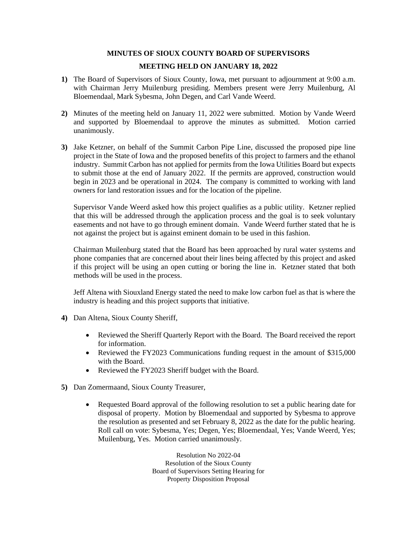## **MINUTES OF SIOUX COUNTY BOARD OF SUPERVISORS**

## **MEETING HELD ON JANUARY 18, 2022**

- **1)** The Board of Supervisors of Sioux County, Iowa, met pursuant to adjournment at 9:00 a.m. with Chairman Jerry Muilenburg presiding. Members present were Jerry Muilenburg, Al Bloemendaal, Mark Sybesma, John Degen, and Carl Vande Weerd.
- **2)** Minutes of the meeting held on January 11, 2022 were submitted. Motion by Vande Weerd and supported by Bloemendaal to approve the minutes as submitted. Motion carried unanimously.
- **3)** Jake Ketzner, on behalf of the Summit Carbon Pipe Line, discussed the proposed pipe line project in the State of Iowa and the proposed benefits of this project to farmers and the ethanol industry. Summit Carbon has not applied for permits from the Iowa Utilities Board but expects to submit those at the end of January 2022. If the permits are approved, construction would begin in 2023 and be operational in 2024. The company is committed to working with land owners for land restoration issues and for the location of the pipeline.

Supervisor Vande Weerd asked how this project qualifies as a public utility. Ketzner replied that this will be addressed through the application process and the goal is to seek voluntary easements and not have to go through eminent domain. Vande Weerd further stated that he is not against the project but is against eminent domain to be used in this fashion.

Chairman Muilenburg stated that the Board has been approached by rural water systems and phone companies that are concerned about their lines being affected by this project and asked if this project will be using an open cutting or boring the line in. Ketzner stated that both methods will be used in the process.

Jeff Altena with Siouxland Energy stated the need to make low carbon fuel as that is where the industry is heading and this project supports that initiative.

- **4)** Dan Altena, Sioux County Sheriff,
	- Reviewed the Sheriff Quarterly Report with the Board. The Board received the report for information.
	- Reviewed the FY2023 Communications funding request in the amount of \$315,000 with the Board.
	- Reviewed the FY2023 Sheriff budget with the Board.
- **5)** Dan Zomermaand, Sioux County Treasurer,
	- Requested Board approval of the following resolution to set a public hearing date for disposal of property. Motion by Bloemendaal and supported by Sybesma to approve the resolution as presented and set February 8, 2022 as the date for the public hearing. Roll call on vote: Sybesma, Yes; Degen, Yes; Bloemendaal, Yes; Vande Weerd, Yes; Muilenburg, Yes. Motion carried unanimously.

Resolution No 2022-04 Resolution of the Sioux County Board of Supervisors Setting Hearing for Property Disposition Proposal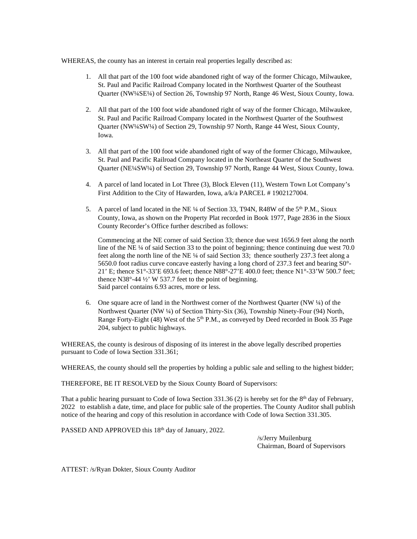WHEREAS, the county has an interest in certain real properties legally described as:

- 1. All that part of the 100 foot wide abandoned right of way of the former Chicago, Milwaukee, St. Paul and Pacific Railroad Company located in the Northwest Quarter of the Southeast Quarter (NW¼SE¼) of Section 26, Township 97 North, Range 46 West, Sioux County, Iowa.
- 2. All that part of the 100 foot wide abandoned right of way of the former Chicago, Milwaukee, St. Paul and Pacific Railroad Company located in the Northwest Quarter of the Southwest Quarter (NW¼SW¼) of Section 29, Township 97 North, Range 44 West, Sioux County, Iowa.
- 3. All that part of the 100 foot wide abandoned right of way of the former Chicago, Milwaukee, St. Paul and Pacific Railroad Company located in the Northeast Quarter of the Southwest Quarter (NE¼SW¼) of Section 29, Township 97 North, Range 44 West, Sioux County, Iowa.
- 4. A parcel of land located in Lot Three (3), Block Eleven (11), Western Town Lot Company's First Addition to the City of Hawarden, Iowa, a/k/a PARCEL # 1902127004.
- 5. A parcel of land located in the NE 1/4 of Section 33, T94N, R48W of the 5<sup>th</sup> P.M., Sioux County, Iowa, as shown on the Property Plat recorded in Book 1977, Page 2836 in the Sioux County Recorder's Office further described as follows:

Commencing at the NE corner of said Section 33; thence due west 1656.9 feet along the north line of the NE ¼ of said Section 33 to the point of beginning; thence continuing due west 70.0 feet along the north line of the NE ¼ of said Section 33; thence southerly 237.3 feet along a 5650.0 foot radius curve concave easterly having a long chord of 237.3 feet and bearing S0°- 21' E; thence S1°-33'E 693.6 feet; thence N88°-27'E 400.0 feet; thence N1°-33'W 500.7 feet; thence N38°-44 ½' W 537.7 feet to the point of beginning. Said parcel contains 6.93 acres, more or less.

6. One square acre of land in the Northwest corner of the Northwest Quarter (NW ¼) of the Northwest Quarter (NW ¼) of Section Thirty-Six (36), Township Ninety-Four (94) North, Range Forty-Eight (48) West of the 5<sup>th</sup> P.M., as conveyed by Deed recorded in Book 35 Page 204, subject to public highways.

WHEREAS, the county is desirous of disposing of its interest in the above legally described properties pursuant to Code of Iowa Section 331.361;

WHEREAS, the county should sell the properties by holding a public sale and selling to the highest bidder;

THEREFORE, BE IT RESOLVED by the Sioux County Board of Supervisors:

That a public hearing pursuant to Code of Iowa Section 331.36 (2) is hereby set for the  $8<sup>th</sup>$  day of February, 2022 to establish a date, time, and place for public sale of the properties. The County Auditor shall publish notice of the hearing and copy of this resolution in accordance with Code of Iowa Section 331.305.

PASSED AND APPROVED this 18<sup>th</sup> day of January, 2022.

/s/Jerry Muilenburg Chairman, Board of Supervisors

ATTEST: /s/Ryan Dokter, Sioux County Auditor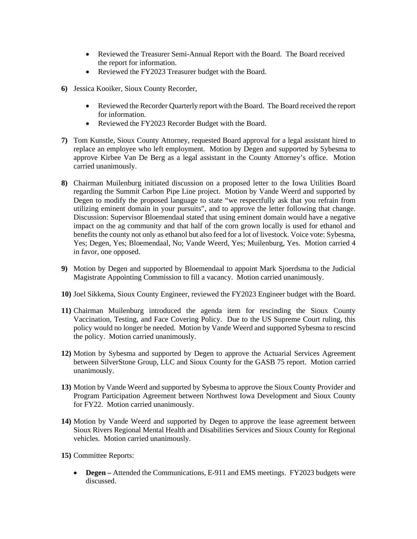- Reviewed the Treasurer Semi-Annual Report with the Board. The Board received the report for information.
- Reviewed the FY2023 Treasurer budget with the Board.
- **6)** Jessica Kooiker, Sioux County Recorder,
	- Reviewed the Recorder Quarterly report with the Board. The Board received the report for information.
	- Reviewed the FY2023 Recorder Budget with the Board.
- **7)** Tom Kunstle, Sioux County Attorney, requested Board approval for a legal assistant hired to replace an employee who left employment. Motion by Degen and supported by Sybesma to approve Kirbee Van De Berg as a legal assistant in the County Attorney's office. Motion carried unanimously.
- **8)** Chairman Muilenburg initiated discussion on a proposed letter to the Iowa Utilities Board regarding the Summit Carbon Pipe Line project. Motion by Vande Weerd and supported by Degen to modify the proposed language to state "we respectfully ask that you refrain from utilizing eminent domain in your pursuits", and to approve the letter following that change. Discussion: Supervisor Bloemendaal stated that using eminent domain would have a negative impact on the ag community and that half of the corn grown locally is used for ethanol and benefits the county not only as ethanol but also feed for a lot of livestock. Voice vote: Sybesma, Yes; Degen, Yes; Bloemendaal, No; Vande Weerd, Yes; Muilenburg, Yes. Motion carried 4 in favor, one opposed.
- **9)** Motion by Degen and supported by Bloemendaal to appoint Mark Sjoerdsma to the Judicial Magistrate Appointing Commission to fill a vacancy. Motion carried unanimously.
- **10)** Joel Sikkema, Sioux County Engineer, reviewed the FY2023 Engineer budget with the Board.
- **11)** Chairman Muilenburg introduced the agenda item for rescinding the Sioux County Vaccination, Testing, and Face Covering Policy. Due to the US Supreme Court ruling, this policy would no longer be needed. Motion by Vande Weerd and supported Sybesma to rescind the policy. Motion carried unanimously.
- **12)** Motion by Sybesma and supported by Degen to approve the Actuarial Services Agreement between SilverStone Group, LLC and Sioux County for the GASB 75 report. Motion carried unanimously.
- **13)** Motion by Vande Weerd and supported by Sybesma to approve the Sioux County Provider and Program Participation Agreement between Northwest Iowa Development and Sioux County for FY22. Motion carried unanimously.
- **14)** Motion by Vande Weerd and supported by Degen to approve the lease agreement between Sioux Rivers Regional Mental Health and Disabilities Services and Sioux County for Regional vehicles. Motion carried unanimously.
- **15)** Committee Reports:
	- **Degen** Attended the Communications, E-911 and EMS meetings. FY2023 budgets were discussed.